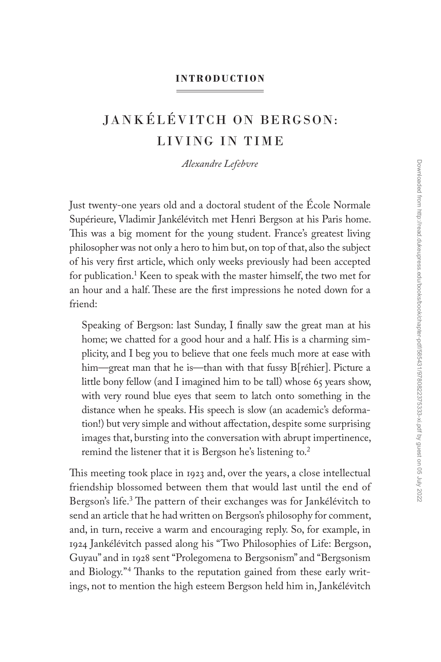## **INTRODUCTION**

# JANKÉLÉVITCH ON BERGSON: LIVING IN TIME

*Alexandre Lefebvre*

Just twenty-one years old and a doctoral student of the École Normale Supérieure, Vladimir Jankélévitch met Henri Bergson at his Paris home. This was a big moment for the young student. France's greatest living philosopher was not only a hero to him but, on top of that, also the subject of his very first article, which only weeks previously had been accepted for publication.1 Keen to speak with the master himself, the two met for an hour and a half. These are the first impressions he noted down for a friend:

Speaking of Bergson: last Sunday, I finally saw the great man at his home; we chatted for a good hour and a half. His is a charming simplicity, and I beg you to believe that one feels much more at ease with him—great man that he is—than with that fussy B[réhier]. Picture a little bony fellow (and I imagined him to be tall) whose 65 years show, with very round blue eyes that seem to latch onto something in the distance when he speaks. His speech is slow (an academic's deformation!) but very simple and without affectation, despite some surprising images that, bursting into the conversation with abrupt impertinence, remind the listener that it is Bergson he's listening to.<sup>2</sup>

This meeting took place in 1923 and, over the years, a close intellectual friendship blossomed between them that would last until the end of Bergson's life.<sup>3</sup> The pattern of their exchanges was for Jankélévitch to send an article that he had written on Bergson's philosophy for comment, and, in turn, receive a warm and encouraging reply. So, for example, in 1924 Jankélévitch passed along his "Two Philosophies of Life: Bergson, Guyau" and in 1928 sent "Prolegomena to Bergsonism" and "Bergsonism and Biology."<sup>4</sup> Thanks to the reputation gained from these early writings, not to mention the high esteem Bergson held him in, Jankélévitch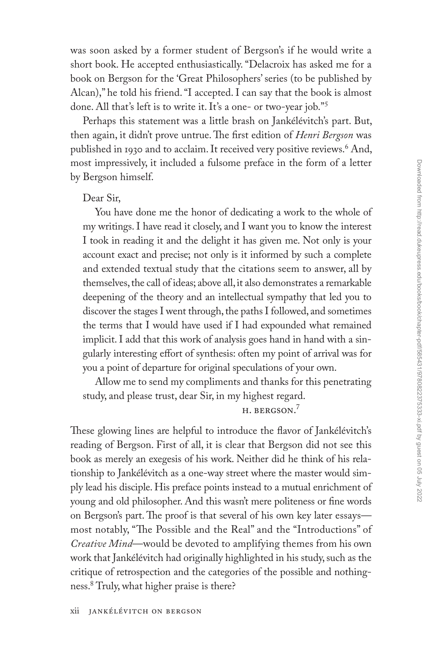was soon asked by a former student of Bergson's if he would write a short book. He accepted enthusiastically. "Delacroix has asked me for a book on Bergson for the 'Great Philosophers' series (to be published by Alcan)," he told his friend. "I accepted. I can say that the book is almost done. All that's left is to write it. It's a one- or two-year job."<sup>5</sup>

Perhaps this statement was a little brash on Jankélévitch's part. But, then again, it didn't prove untrue. The first edition of *Henri Bergson* was published in 1930 and to acclaim. It received very positive reviews.<sup>6</sup> And, most impressively, it included a fulsome preface in the form of a letter by Bergson himself.

### Dear Sir,

You have done me the honor of dedicating a work to the whole of my writings. I have read it closely, and I want you to know the interest I took in reading it and the delight it has given me. Not only is your account exact and precise; not only is it informed by such a complete and extended textual study that the citations seem to answer, all by themselves, the call of ideas; above all, it also demonstrates a remarkable deepening of the theory and an intellectual sympathy that led you to discover the stages I went through, the paths I followed, and sometimes the terms that I would have used if I had expounded what remained implicit. I add that this work of analysis goes hand in hand with a singularly interesting effort of synthesis: often my point of arrival was for you a point of departure for original speculations of your own.

Allow me to send my compliments and thanks for this penetrating study, and please trust, dear Sir, in my highest regard.

H. BERGSON.<sup>7</sup>

These glowing lines are helpful to introduce the flavor of Jankélévitch's reading of Bergson. First of all, it is clear that Bergson did not see this book as merely an exegesis of his work. Neither did he think of his relationship to Jankélévitch as a one-way street where the master would simply lead his disciple. His preface points instead to a mutual enrichment of young and old philosopher. And this wasn't mere politeness or fine words on Bergson's part. The proof is that several of his own key later essays most notably, "The Possible and the Real" and the "Introductions" of *Creative Mind*—would be devoted to amplifying themes from his own work that Jankélévitch had originally highlighted in his study, such as the critique of retrospection and the categories of the possible and nothingness.8 Truly, what higher praise is there?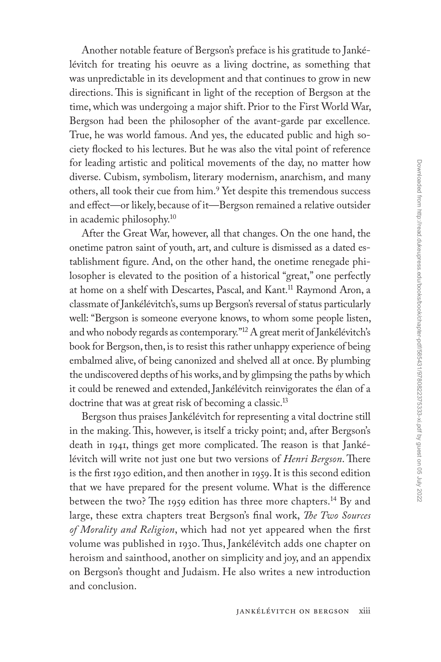Another notable feature of Bergson's preface is his gratitude to Jankélévitch for treating his oeuvre as a living doctrine, as something that was unpredictable in its development and that continues to grow in new directions. This is significant in light of the reception of Bergson at the time, which was undergoing a major shift. Prior to the First World War, Bergson had been the philosopher of the avant-garde par excellence*.* True, he was world famous. And yes, the educated public and high society flocked to his lectures. But he was also the vital point of reference for leading artistic and political movements of the day, no matter how diverse. Cubism, symbolism, literary modernism, anarchism, and many others, all took their cue from him.<sup>9</sup> Yet despite this tremendous success and effect—or likely, because of it—Bergson remained a relative outsider in academic philosophy.10

After the Great War, however, all that changes. On the one hand, the onetime patron saint of youth, art, and culture is dismissed as a dated establishment figure. And, on the other hand, the onetime renegade philosopher is elevated to the position of a historical "great," one perfectly at home on a shelf with Descartes, Pascal, and Kant.<sup>11</sup> Raymond Aron, a classmate of Jankélévitch's, sums up Bergson's reversal of status particularly well: "Bergson is someone everyone knows, to whom some people listen, and who nobody regards as contemporary."12 A great merit of Jankélévitch's book for Bergson, then, is to resist this rather unhappy experience of being embalmed alive, of being canonized and shelved all at once. By plumbing the undiscovered depths of his works, and by glimpsing the paths by which it could be renewed and extended, Jankélévitch reinvigorates the élan of a doctrine that was at great risk of becoming a classic.<sup>13</sup>

Bergson thus praises Jankélévitch for representing a vital doctrine still in the making. This, however, is itself a tricky point; and, after Bergson's death in 1941, things get more complicated. The reason is that Jankélévitch will write not just one but two versions of *Henri Bergson*. There is the first 1930 edition, and then another in 1959. It is this second edition that we have prepared for the present volume. What is the difference between the two? The 1959 edition has three more chapters.<sup>14</sup> By and large, these extra chapters treat Bergson's final work, *The Two Sources of Morality and Religion*, which had not yet appeared when the first volume was published in 1930. Thus, Jankélévitch adds one chapter on heroism and sainthood, another on simplicity and joy, and an appendix on Bergson's thought and Judaism. He also writes a new introduction and conclusion.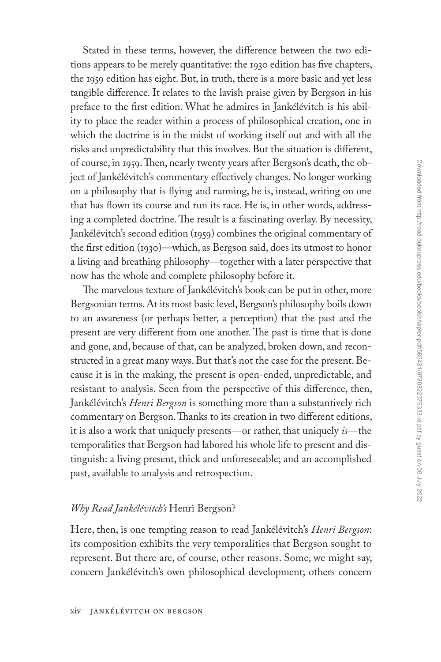Stated in these terms, however, the difference between the two editions appears to be merely quantitative: the 1930 edition has five chapters, the 1959 edition has eight. But, in truth, there is a more basic and yet less tangible difference. It relates to the lavish praise given by Bergson in his preface to the first edition. What he admires in Jankélévitch is his ability to place the reader within a process of philosophical creation, one in which the doctrine is in the midst of working itself out and with all the risks and unpredictability that this involves. But the situation is different, of course, in 1959. Then, nearly twenty years after Bergson's death, the object of Jankélévitch's commentary effectively changes. No longer working on a philosophy that is flying and running, he is, instead, writing on one that has flown its course and run its race. He is, in other words, addressing a completed doctrine. The result is a fascinating overlay. By necessity, Jankélévitch's second edition (1959) combines the original commentary of the first edition (1930)—which, as Bergson said, does its utmost to honor a living and breathing philosophy—together with a later perspective that now has the whole and complete philosophy before it.

The marvelous texture of Jankélévitch's book can be put in other, more Bergsonian terms. At its most basic level, Bergson's philosophy boils down to an awareness (or perhaps better, a perception) that the past and the present are very different from one another. The past is time that is done and gone, and, because of that, can be analyzed, broken down, and reconstructed in a great many ways. But that's not the case for the present. Because it is in the making, the present is open-ended, unpredictable, and resistant to analysis. Seen from the perspective of this difference, then, Jankélévitch's *Henri Bergson* is something more than a substantively rich commentary on Bergson. Thanks to its creation in two different editions, it is also a work that uniquely presents—or rather, that uniquely *is*—the temporalities that Bergson had labored his whole life to present and distinguish: a living present, thick and unforeseeable; and an accomplished past, available to analysis and retrospection.

## *Why Read Jankélévitch's* Henri Bergson?

Here, then, is one tempting reason to read Jankélévitch's *Henri Bergson*: its composition exhibits the very temporalities that Bergson sought to represent. But there are, of course, other reasons. Some, we might say, concern Jankélévitch's own philosophical development; others concern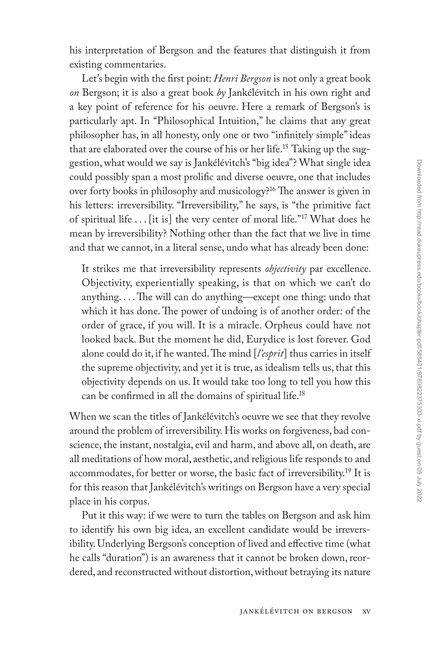his interpretation of Bergson and the features that distinguish it from existing commentaries.

Let's begin with the first point: *Henri Bergson* is not only a great book *on* Bergson; it is also a great book *by* Jankélévitch in his own right and a key point of reference for his oeuvre. Here a remark of Bergson's is particularly apt. In "Philosophical Intuition," he claims that any great philosopher has, in all honesty, only one or two "infinitely simple" ideas that are elaborated over the course of his or her life.<sup>15</sup> Taking up the suggestion, what would we say is Jankélévitch's "big idea"? What single idea could possibly span a most prolific and diverse oeuvre, one that includes over forty books in philosophy and musicology?16 The answer is given in his letters: irreversibility. "Irreversibility," he says, is "the primitive fact of spiritual life . . . [it is] the very center of moral life."17 What does he mean by irreversibility? Nothing other than the fact that we live in time and that we cannot, in a literal sense, undo what has already been done:

It strikes me that irreversibility represents *objectivity* par excellence. Objectivity, experientially speaking, is that on which we can't do anything. . . .The will can do anything—except one thing: undo that which it has done. The power of undoing is of another order: of the order of grace, if you will. It is a miracle. Orpheus could have not looked back. But the moment he did, Eurydice is lost forever. God alone could do it, if he wanted. The mind [*l'esprit*] thus carries in itself the supreme objectivity, and yet it is true, as idealism tells us, that this objectivity depends on us. It would take too long to tell you how this can be confirmed in all the domains of spiritual life.<sup>18</sup>

When we scan the titles of Jankélévitch's oeuvre we see that they revolve around the problem of irreversibility. His works on forgiveness, bad conscience, the instant, nostalgia, evil and harm, and above all, on death, are all meditations of how moral, aesthetic, and religious life responds to and accommodates, for better or worse, the basic fact of irreversibility.19 It is for this reason that Jankélévitch's writings on Bergson have a very special place in his corpus.

Put it this way: if we were to turn the tables on Bergson and ask him to identify his own big idea, an excellent candidate would be irreversibility. Underlying Bergson's conception of lived and effective time (what he calls "duration") is an awareness that it cannot be broken down, reordered, and reconstructed without distortion, without betraying its nature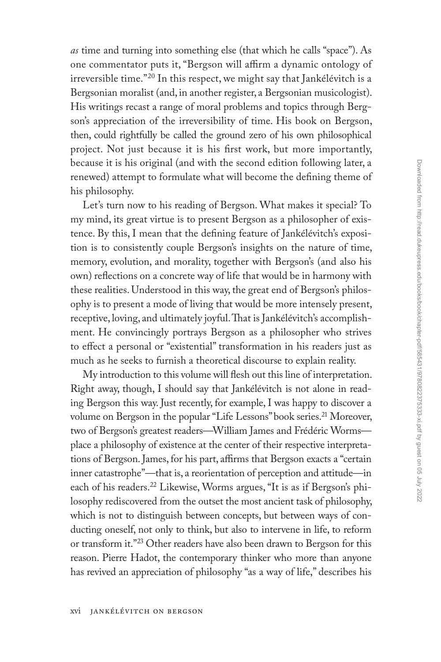*as* time and turning into something else (that which he calls "space"). As one commentator puts it, "Bergson will affirm a dynamic ontology of irreversible time."20 In this respect, we might say that Jankélévitch is a Bergsonian moralist (and, in another register, a Bergsonian musicologist). His writings recast a range of moral problems and topics through Bergson's appreciation of the irreversibility of time. His book on Bergson, then, could rightfully be called the ground zero of his own philosophical project. Not just because it is his first work, but more importantly, because it is his original (and with the second edition following later, a renewed) attempt to formulate what will become the defining theme of his philosophy.

Let's turn now to his reading of Bergson. What makes it special? To my mind, its great virtue is to present Bergson as a philosopher of existence. By this, I mean that the defining feature of Jankélévitch's exposition is to consistently couple Bergson's insights on the nature of time, memory, evolution, and morality, together with Bergson's (and also his own) reflections on a concrete way of life that would be in harmony with these realities. Understood in this way, the great end of Bergson's philosophy is to present a mode of living that would be more intensely present, receptive, loving, and ultimately joyful. That is Jankélévitch's accomplishment. He convincingly portrays Bergson as a philosopher who strives to effect a personal or "existential" transformation in his readers just as much as he seeks to furnish a theoretical discourse to explain reality.

My introduction to this volume will flesh out this line of interpretation. Right away, though, I should say that Jankélévitch is not alone in reading Bergson this way. Just recently, for example, I was happy to discover a volume on Bergson in the popular "Life Lessons" book series.<sup>21</sup> Moreover, two of Bergson's greatest readers—William James and Frédéric Worms place a philosophy of existence at the center of their respective interpretations of Bergson. James, for his part, affirms that Bergson exacts a "certain inner catastrophe"—that is, a reorientation of perception and attitude—in each of his readers.<sup>22</sup> Likewise, Worms argues, "It is as if Bergson's philosophy rediscovered from the outset the most ancient task of philosophy, which is not to distinguish between concepts, but between ways of conducting oneself, not only to think, but also to intervene in life, to reform or transform it."23 Other readers have also been drawn to Bergson for this reason. Pierre Hadot, the contemporary thinker who more than anyone has revived an appreciation of philosophy "as a way of life," describes his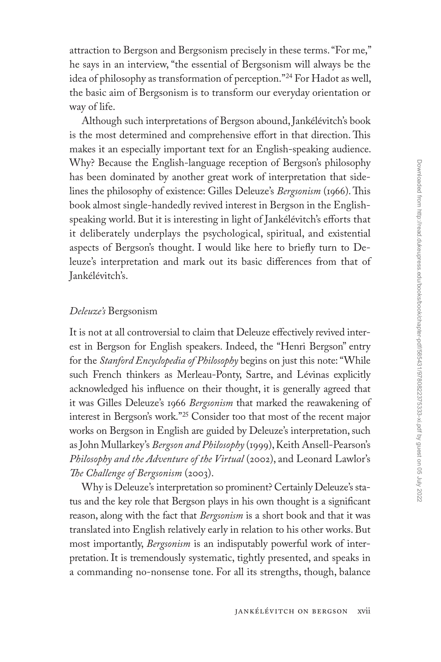attraction to Bergson and Bergsonism precisely in these terms. "For me," he says in an interview, "the essential of Bergsonism will always be the idea of philosophy as transformation of perception."24 For Hadot as well, the basic aim of Bergsonism is to transform our everyday orientation or way of life.

Although such interpretations of Bergson abound, Jankélévitch's book is the most determined and comprehensive effort in that direction. This makes it an especially important text for an English-speaking audience. Why? Because the English-language reception of Bergson's philosophy has been dominated by another great work of interpretation that sidelines the philosophy of existence: Gilles Deleuze's *Bergsonism* (1966). This book almost single-handedly revived interest in Bergson in the Englishspeaking world. But it is interesting in light of Jankélévitch's efforts that it deliberately underplays the psychological, spiritual, and existential aspects of Bergson's thought. I would like here to briefly turn to Deleuze's interpretation and mark out its basic differences from that of Jankélévitch's.

## *Deleuze's* Bergsonism

It is not at all controversial to claim that Deleuze effectively revived interest in Bergson for English speakers. Indeed, the "Henri Bergson" entry for the *Stanford Encyclopedia of Philosophy* begins on just this note: "While such French thinkers as Merleau-Ponty, Sartre, and Lévinas explicitly acknowledged his influence on their thought, it is generally agreed that it was Gilles Deleuze's 1966 *Bergsonism* that marked the reawakening of interest in Bergson's work."25 Consider too that most of the recent major works on Bergson in English are guided by Deleuze's interpretation, such as John Mullarkey's *Bergson and Philosophy* (1999), Keith Ansell-Pearson's *Philosophy and the Adventure of the Virtual* (2002), and Leonard Lawlor's *The Challenge of Bergsonism* (2003).

Why is Deleuze's interpretation so prominent? Certainly Deleuze's status and the key role that Bergson plays in his own thought is a significant reason, along with the fact that *Bergsonism* is a short book and that it was translated into English relatively early in relation to his other works. But most importantly, *Bergsonism* is an indisputably powerful work of interpretation. It is tremendously systematic, tightly presented, and speaks in a commanding no-nonsense tone. For all its strengths, though, balance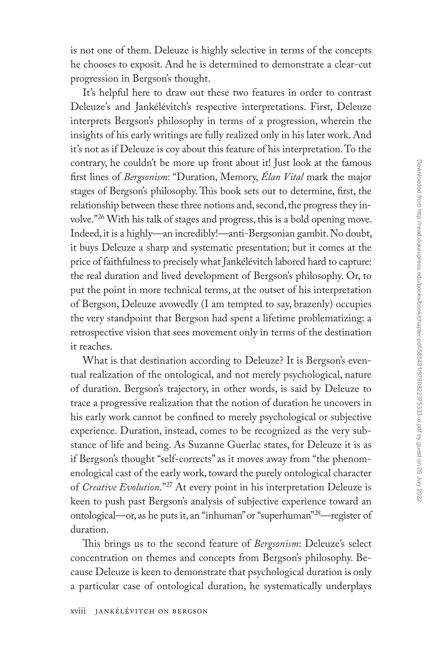is not one of them. Deleuze is highly selective in terms of the concepts he chooses to exposit. And he is determined to demonstrate a clear-cut progression in Bergson's thought.

It's helpful here to draw out these two features in order to contrast Deleuze's and Jankélévitch's respective interpretations. First, Deleuze interprets Bergson's philosophy in terms of a progression, wherein the insights of his early writings are fully realized only in his later work. And it's not as if Deleuze is coy about this feature of his interpretation. To the contrary, he couldn't be more up front about it! Just look at the famous first lines of *Bergsonism*: "Duration, Memory, *Élan Vital* mark the major stages of Bergson's philosophy. This book sets out to determine, first, the relationship between these three notions and, second, the progress they involve."26 With his talk of stages and progress, this is a bold opening move. Indeed, it is a highly—an incredibly!—anti-Bergsonian gambit. No doubt, it buys Deleuze a sharp and systematic presentation; but it comes at the price of faithfulness to precisely what Jankélévitch labored hard to capture: the real duration and lived development of Bergson's philosophy. Or, to put the point in more technical terms, at the outset of his interpretation of Bergson, Deleuze avowedly (I am tempted to say, brazenly) occupies the very standpoint that Bergson had spent a lifetime problematizing: a retrospective vision that sees movement only in terms of the destination it reaches.

What is that destination according to Deleuze? It is Bergson's eventual realization of the ontological, and not merely psychological, nature of duration. Bergson's trajectory, in other words, is said by Deleuze to trace a progressive realization that the notion of duration he uncovers in his early work cannot be confined to merely psychological or subjective experience. Duration, instead, comes to be recognized as the very substance of life and being. As Suzanne Guerlac states, for Deleuze it is as if Bergson's thought "self-corrects" as it moves away from "the phenomenological cast of the early work, toward the purely ontological character of *Creative Evolution*."27 At every point in his interpretation Deleuze is keen to push past Bergson's analysis of subjective experience toward an ontological—or, as he puts it, an "inhuman" or "superhuman"28—register of duration.

This brings us to the second feature of *Bergsonism*: Deleuze's select concentration on themes and concepts from Bergson's philosophy. Because Deleuze is keen to demonstrate that psychological duration is only a particular case of ontological duration, he systematically underplays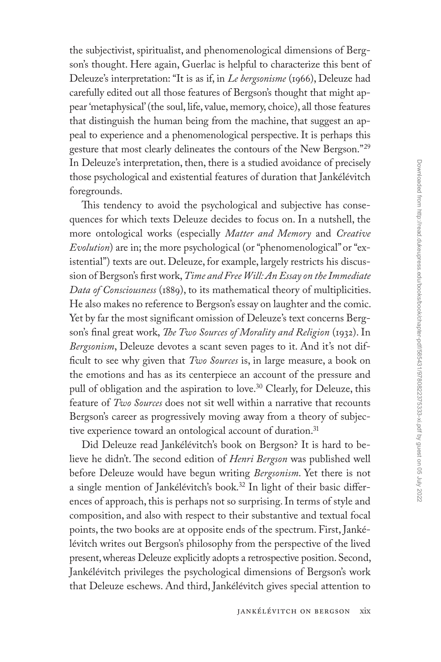the subjectivist, spiritualist, and phenomenological dimensions of Bergson's thought. Here again, Guerlac is helpful to characterize this bent of Deleuze's interpretation: "It is as if, in *Le bergsonisme* (1966), Deleuze had carefully edited out all those features of Bergson's thought that might appear 'metaphysical' (the soul, life, value, memory, choice), all those features that distinguish the human being from the machine, that suggest an appeal to experience and a phenomenological perspective. It is perhaps this gesture that most clearly delineates the contours of the New Bergson."<sup>29</sup> In Deleuze's interpretation, then, there is a studied avoidance of precisely those psychological and existential features of duration that Jankélévitch foregrounds.

This tendency to avoid the psychological and subjective has consequences for which texts Deleuze decides to focus on. In a nutshell, the more ontological works (especially *Matter and Memory* and *Creative Evolution*) are in; the more psychological (or "phenomenological" or "existential") texts are out. Deleuze, for example, largely restricts his discussion of Bergson's first work, *Time and Free Will: An Essay on the Immediate Data of Consciousness* (1889), to its mathematical theory of multiplicities. He also makes no reference to Bergson's essay on laughter and the comic. Yet by far the most significant omission of Deleuze's text concerns Bergson's final great work, *The Two Sources of Morality and Religion* (1932). In *Bergsonism*, Deleuze devotes a scant seven pages to it. And it's not difficult to see why given that *Two Sources* is, in large measure, a book on the emotions and has as its centerpiece an account of the pressure and pull of obligation and the aspiration to love.<sup>30</sup> Clearly, for Deleuze, this feature of *Two Sources* does not sit well within a narrative that recounts Bergson's career as progressively moving away from a theory of subjective experience toward an ontological account of duration.<sup>31</sup>

Did Deleuze read Jankélévitch's book on Bergson? It is hard to believe he didn't. The second edition of *Henri Bergson* was published well before Deleuze would have begun writing *Bergsonism*. Yet there is not a single mention of Jankélévitch's book.32 In light of their basic differences of approach, this is perhaps not so surprising. In terms of style and composition, and also with respect to their substantive and textual focal points, the two books are at opposite ends of the spectrum. First, Jankélévitch writes out Bergson's philosophy from the perspective of the lived present, whereas Deleuze explicitly adopts a retrospective position. Second, Jankélévitch privileges the psychological dimensions of Bergson's work that Deleuze eschews. And third, Jankélévitch gives special attention to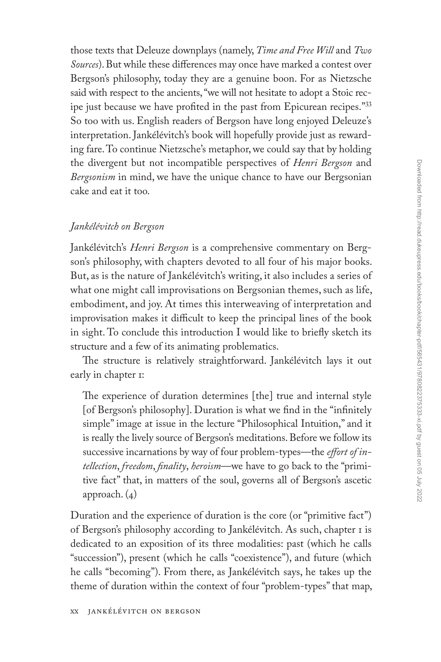those texts that Deleuze downplays (namely, *Time and Free Will* and *Two Sources*). But while these differences may once have marked a contest over Bergson's philosophy, today they are a genuine boon. For as Nietzsche said with respect to the ancients, "we will not hesitate to adopt a Stoic recipe just because we have profited in the past from Epicurean recipes."<sup>33</sup> So too with us. English readers of Bergson have long enjoyed Deleuze's interpretation. Jankélévitch's book will hopefully provide just as rewarding fare. To continue Nietzsche's metaphor, we could say that by holding the divergent but not incompatible perspectives of *Henri Bergson* and *Bergsonism* in mind, we have the unique chance to have our Bergsonian cake and eat it too.

# *Jankélévitch on Bergson*

Jankélévitch's *Henri Bergson* is a comprehensive commentary on Bergson's philosophy, with chapters devoted to all four of his major books. But, as is the nature of Jankélévitch's writing, it also includes a series of what one might call improvisations on Bergsonian themes, such as life, embodiment, and joy. At times this interweaving of interpretation and improvisation makes it difficult to keep the principal lines of the book in sight. To conclude this introduction I would like to briefly sketch its structure and a few of its animating problematics.

The structure is relatively straightforward. Jankélévitch lays it out early in chapter  $r$ :

The experience of duration determines [the] true and internal style [of Bergson's philosophy]. Duration is what we find in the "infinitely simple" image at issue in the lecture "Philosophical Intuition," and it is really the lively source of Bergson's meditations. Before we follow its successive incarnations by way of four problem-types—the *effort of intellection*, *freedom*, *finality*, *heroism*—we have to go back to the "primitive fact" that, in matters of the soul, governs all of Bergson's ascetic approach. (4)

Duration and the experience of duration is the core (or "primitive fact") of Bergson's philosophy according to Jankélévitch. As such, chapter 1 is dedicated to an exposition of its three modalities: past (which he calls "succession"), present (which he calls "coexistence"), and future (which he calls "becoming"). From there, as Jankélévitch says, he takes up the theme of duration within the context of four "problem-types" that map,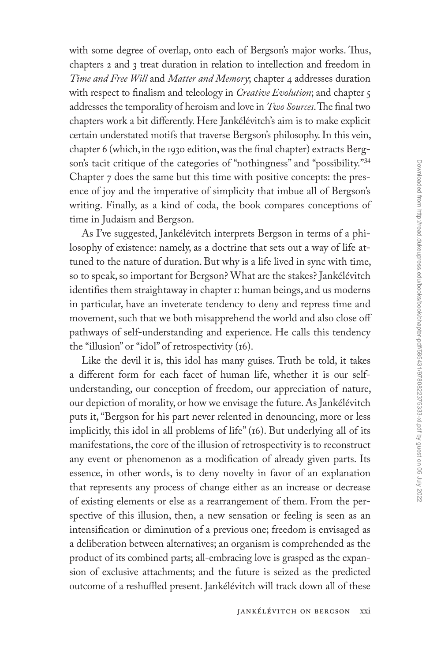with some degree of overlap, onto each of Bergson's major works. Thus, chapters 2 and 3 treat duration in relation to intellection and freedom in *Time and Free Will* and *Matter and Memory*; chapter 4 addresses duration with respect to finalism and teleology in *Creative Evolution*; and chapter 5 addresses the temporality of heroism and love in *Two Sources*. The final two chapters work a bit differently. Here Jankélévitch's aim is to make explicit certain understated motifs that traverse Bergson's philosophy. In this vein, chapter 6 (which, in the 1930 edition, was the final chapter) extracts Bergson's tacit critique of the categories of "nothingness" and "possibility."<sup>34</sup> Chapter 7 does the same but this time with positive concepts: the presence of joy and the imperative of simplicity that imbue all of Bergson's writing. Finally, as a kind of coda, the book compares conceptions of time in Judaism and Bergson.

As I've suggested, Jankélévitch interprets Bergson in terms of a philosophy of existence: namely, as a doctrine that sets out a way of life attuned to the nature of duration. But why is a life lived in sync with time, so to speak, so important for Bergson? What are the stakes? Jankélévitch identifies them straightaway in chapter 1: human beings, and us moderns in particular, have an inveterate tendency to deny and repress time and movement, such that we both misapprehend the world and also close off pathways of self-understanding and experience. He calls this tendency the "illusion" or "idol" of retrospectivity (16).

Like the devil it is, this idol has many guises. Truth be told, it takes a different form for each facet of human life, whether it is our selfunderstanding, our conception of freedom, our appreciation of nature, our depiction of morality, or how we envisage the future. As Jankélévitch puts it, "Bergson for his part never relented in denouncing, more or less implicitly, this idol in all problems of life" (16). But underlying all of its manifestations, the core of the illusion of retrospectivity is to reconstruct any event or phenomenon as a modification of already given parts. Its essence, in other words, is to deny novelty in favor of an explanation that represents any process of change either as an increase or decrease of existing elements or else as a rearrangement of them. From the perspective of this illusion, then, a new sensation or feeling is seen as an intensification or diminution of a previous one; freedom is envisaged as a deliberation between alternatives; an organism is comprehended as the product of its combined parts; all-embracing love is grasped as the expansion of exclusive attachments; and the future is seized as the predicted outcome of a reshuffled present. Jankélévitch will track down all of these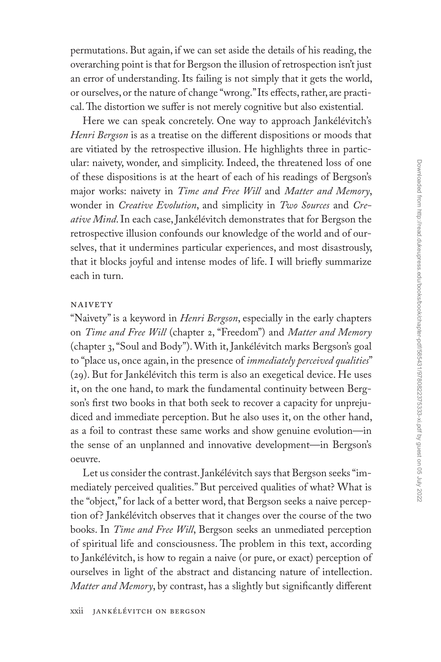permutations. But again, if we can set aside the details of his reading, the overarching point is that for Bergson the illusion of retrospection isn't just an error of understanding. Its failing is not simply that it gets the world, or ourselves, or the nature of change "wrong." Its effects, rather, are practical. The distortion we suffer is not merely cognitive but also existential.

Here we can speak concretely. One way to approach Jankélévitch's *Henri Bergson* is as a treatise on the different dispositions or moods that are vitiated by the retrospective illusion. He highlights three in particular: naivety, wonder, and simplicity. Indeed, the threatened loss of one of these dispositions is at the heart of each of his readings of Bergson's major works: naivety in *Time and Free Will* and *Matter and Memory*, wonder in *Creative Evolution*, and simplicity in *Two Sources* and *Creative Mind*. In each case, Jankélévitch demonstrates that for Bergson the retrospective illusion confounds our knowledge of the world and of ourselves, that it undermines particular experiences, and most disastrously, that it blocks joyful and intense modes of life. I will briefly summarize each in turn.

## **NAIVETY**

"Naivety" is a keyword in *Henri Bergson*, especially in the early chapters on *Time and Free Will* (chapter 2, "Freedom") and *Matter and Memory* (chapter 3, "Soul and Body"). With it, Jankélévitch marks Bergson's goal to "place us, once again, in the presence of *immediately perceived qualities*" (29). But for Jankélévitch this term is also an exegetical device. He uses it, on the one hand, to mark the fundamental continuity between Bergson's first two books in that both seek to recover a capacity for unprejudiced and immediate perception. But he also uses it, on the other hand, as a foil to contrast these same works and show genuine evolution—in the sense of an unplanned and innovative development—in Bergson's oeuvre.

Let us consider the contrast. Jankélévitch says that Bergson seeks "immediately perceived qualities." But perceived qualities of what? What is the "object," for lack of a better word, that Bergson seeks a naive perception of? Jankélévitch observes that it changes over the course of the two books. In *Time and Free Will*, Bergson seeks an unmediated perception of spiritual life and consciousness. The problem in this text, according to Jankélévitch, is how to regain a naive (or pure, or exact) perception of ourselves in light of the abstract and distancing nature of intellection. *Matter and Memory*, by contrast, has a slightly but significantly different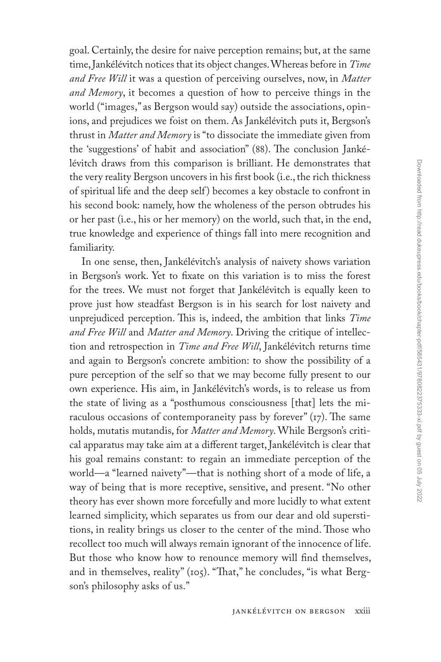goal. Certainly, the desire for naive perception remains; but, at the same time, Jankélévitch notices that its object changes. Whereas before in *Time and Free Will* it was a question of perceiving ourselves, now, in *Matter and Memory*, it becomes a question of how to perceive things in the world ("images," as Bergson would say) outside the associations, opinions, and prejudices we foist on them. As Jankélévitch puts it, Bergson's thrust in *Matter and Memory* is "to dissociate the immediate given from the 'suggestions' of habit and association" (88). The conclusion Jankélévitch draws from this comparison is brilliant. He demonstrates that the very reality Bergson uncovers in his first book (i.e., the rich thickness of spiritual life and the deep self ) becomes a key obstacle to confront in his second book: namely, how the wholeness of the person obtrudes his or her past (i.e., his or her memory) on the world, such that, in the end, true knowledge and experience of things fall into mere recognition and familiarity.

In one sense, then, Jankélévitch's analysis of naivety shows variation in Bergson's work. Yet to fixate on this variation is to miss the forest for the trees. We must not forget that Jankélévitch is equally keen to prove just how steadfast Bergson is in his search for lost naivety and unprejudiced perception. This is, indeed, the ambition that links *Time and Free Will* and *Matter and Memory*. Driving the critique of intellection and retrospection in *Time and Free Will*, Jankélévitch returns time and again to Bergson's concrete ambition: to show the possibility of a pure perception of the self so that we may become fully present to our own experience. His aim, in Jankélévitch's words, is to release us from the state of living as a "posthumous consciousness [that] lets the miraculous occasions of contemporaneity pass by forever"  $(r_7)$ . The same holds, mutatis mutandis, for *Matter and Memory*. While Bergson's critical apparatus may take aim at a different target, Jankélévitch is clear that his goal remains constant: to regain an immediate perception of the world—a "learned naivety"—that is nothing short of a mode of life, a way of being that is more receptive, sensitive, and present. "No other theory has ever shown more forcefully and more lucidly to what extent learned simplicity, which separates us from our dear and old superstitions, in reality brings us closer to the center of the mind. Those who recollect too much will always remain ignorant of the innocence of life. But those who know how to renounce memory will find themselves, and in themselves, reality" (105). "That," he concludes, "is what Bergson's philosophy asks of us."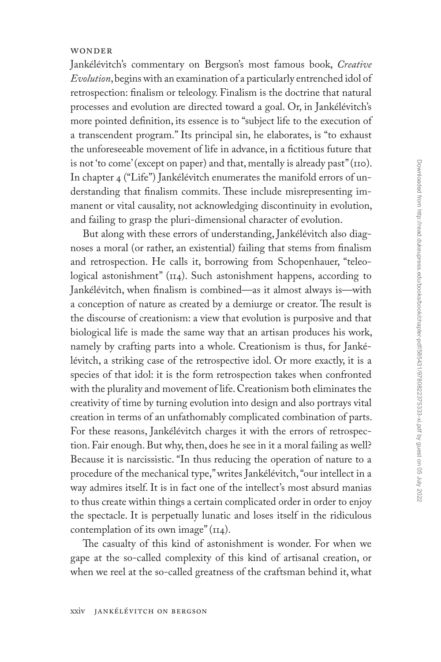#### **WONDER**

Jankélévitch's commentary on Bergson's most famous book, *Creative Evolution*, begins with an examination of a particularly entrenched idol of retrospection: finalism or teleology. Finalism is the doctrine that natural processes and evolution are directed toward a goal. Or, in Jankélévitch's more pointed definition, its essence is to "subject life to the execution of a transcendent program." Its principal sin, he elaborates, is "to exhaust the unforeseeable movement of life in advance, in a fictitious future that is not 'to come' (except on paper) and that, mentally is already past" (110). In chapter 4 ("Life") Jankélévitch enumerates the manifold errors of understanding that finalism commits. These include misrepresenting immanent or vital causality, not acknowledging discontinuity in evolution, and failing to grasp the pluri-dimensional character of evolution.

But along with these errors of understanding, Jankélévitch also diagnoses a moral (or rather, an existential) failing that stems from finalism and retrospection. He calls it, borrowing from Schopenhauer, "teleological astonishment" (114). Such astonishment happens, according to Jankélévitch, when finalism is combined—as it almost always is—with a conception of nature as created by a demiurge or creator. The result is the discourse of creationism: a view that evolution is purposive and that biological life is made the same way that an artisan produces his work, namely by crafting parts into a whole. Creationism is thus, for Jankélévitch, a striking case of the retrospective idol. Or more exactly, it is a species of that idol: it is the form retrospection takes when confronted with the plurality and movement of life. Creationism both eliminates the creativity of time by turning evolution into design and also portrays vital creation in terms of an unfathomably complicated combination of parts. For these reasons, Jankélévitch charges it with the errors of retrospection. Fair enough. But why, then, does he see in it a moral failing as well? Because it is narcissistic. "In thus reducing the operation of nature to a procedure of the mechanical type," writes Jankélévitch, "our intellect in a way admires itself. It is in fact one of the intellect's most absurd manias to thus create within things a certain complicated order in order to enjoy the spectacle. It is perpetually lunatic and loses itself in the ridiculous contemplation of its own image"  $(\text{II4})$ .

The casualty of this kind of astonishment is wonder. For when we gape at the so-called complexity of this kind of artisanal creation, or when we reel at the so-called greatness of the craftsman behind it, what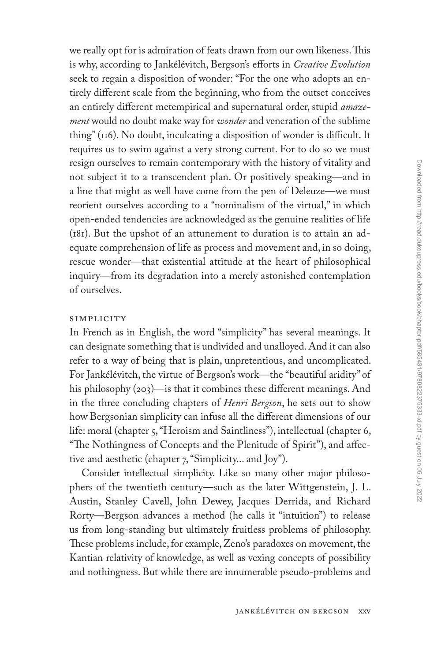we really opt for is admiration of feats drawn from our own likeness. This is why, according to Jankélévitch, Bergson's efforts in *Creative Evolution* seek to regain a disposition of wonder: "For the one who adopts an entirely different scale from the beginning, who from the outset conceives an entirely different metempirical and supernatural order, stupid *amazement* would no doubt make way for *wonder* and veneration of the sublime thing" (116). No doubt, inculcating a disposition of wonder is difficult. It requires us to swim against a very strong current. For to do so we must resign ourselves to remain contemporary with the history of vitality and not subject it to a transcendent plan. Or positively speaking—and in a line that might as well have come from the pen of Deleuze—we must reorient ourselves according to a "nominalism of the virtual," in which open-ended tendencies are acknowledged as the genuine realities of life (181). But the upshot of an attunement to duration is to attain an adequate comprehension of life as process and movement and, in so doing, rescue wonder—that existential attitude at the heart of philosophical inquiry—from its degradation into a merely astonished contemplation of ourselves.

### **SIMPLICITY**

In French as in English, the word "simplicity" has several meanings. It can designate something that is undivided and unalloyed. And it can also refer to a way of being that is plain, unpretentious, and uncomplicated. For Jankélévitch, the virtue of Bergson's work—the "beautiful aridity" of his philosophy (203)—is that it combines these different meanings. And in the three concluding chapters of *Henri Bergson*, he sets out to show how Bergsonian simplicity can infuse all the different dimensions of our life: moral (chapter 5, "Heroism and Saintliness"), intellectual (chapter 6, "The Nothingness of Concepts and the Plenitude of Spirit"), and affective and aesthetic (chapter 7, "Simplicity... and Joy").

Consider intellectual simplicity. Like so many other major philosophers of the twentieth century—such as the later Wittgenstein, J. L. Austin, Stanley Cavell, John Dewey, Jacques Derrida, and Richard Rorty—Bergson advances a method (he calls it "intuition") to release us from long-standing but ultimately fruitless problems of philosophy. These problems include, for example, Zeno's paradoxes on movement, the Kantian relativity of knowledge, as well as vexing concepts of possibility and nothingness. But while there are innumerable pseudo-problems and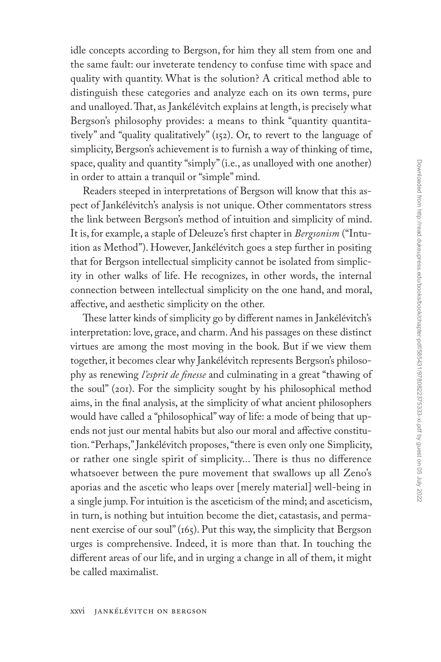idle concepts according to Bergson, for him they all stem from one and the same fault: our inveterate tendency to confuse time with space and quality with quantity. What is the solution? A critical method able to distinguish these categories and analyze each on its own terms, pure and unalloyed. That, as Jankélévitch explains at length, is precisely what Bergson's philosophy provides: a means to think "quantity quantitatively" and "quality qualitatively" (152). Or, to revert to the language of simplicity, Bergson's achievement is to furnish a way of thinking of time, space, quality and quantity "simply" (i.e., as unalloyed with one another) in order to attain a tranquil or "simple" mind.

Readers steeped in interpretations of Bergson will know that this aspect of Jankélévitch's analysis is not unique. Other commentators stress the link between Bergson's method of intuition and simplicity of mind. It is, for example, a staple of Deleuze's first chapter in *Bergsonism* ("Intuition as Method"). However, Jankélévitch goes a step further in positing that for Bergson intellectual simplicity cannot be isolated from simplicity in other walks of life. He recognizes, in other words, the internal connection between intellectual simplicity on the one hand, and moral, affective, and aesthetic simplicity on the other.

These latter kinds of simplicity go by different names in Jankélévitch's interpretation: love, grace, and charm. And his passages on these distinct virtues are among the most moving in the book. But if we view them together, it becomes clear why Jankélévitch represents Bergson's philosophy as renewing *l'esprit de finesse* and culminating in a great "thawing of the soul" (201). For the simplicity sought by his philosophical method aims, in the final analysis, at the simplicity of what ancient philosophers would have called a "philosophical" way of life: a mode of being that upends not just our mental habits but also our moral and affective constitution. "Perhaps," Jankélévitch proposes, "there is even only one Simplicity, or rather one single spirit of simplicity... There is thus no difference whatsoever between the pure movement that swallows up all Zeno's aporias and the ascetic who leaps over [merely material] well-being in a single jump. For intuition is the asceticism of the mind; and asceticism, in turn, is nothing but intuition become the diet, catastasis, and permanent exercise of our soul" (165). Put this way, the simplicity that Bergson urges is comprehensive. Indeed, it is more than that. In touching the different areas of our life, and in urging a change in all of them, it might be called maximalist.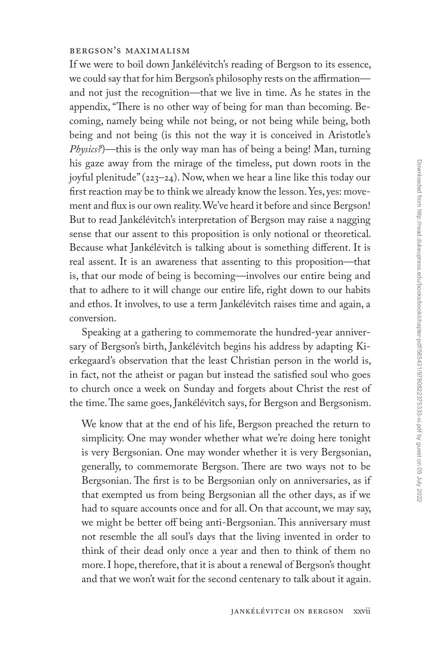# Bergson's Maximalism

If we were to boil down Jankélévitch's reading of Bergson to its essence, we could say that for him Bergson's philosophy rests on the affirmation and not just the recognition—that we live in time. As he states in the appendix, "There is no other way of being for man than becoming. Becoming, namely being while not being, or not being while being, both being and not being (is this not the way it is conceived in Aristotle's *Physics?*)—this is the only way man has of being a being! Man, turning his gaze away from the mirage of the timeless, put down roots in the joyful plenitude" (223–24). Now, when we hear a line like this today our first reaction may be to think we already know the lesson. Yes, yes: movement and flux is our own reality. We've heard it before and since Bergson! But to read Jankélévitch's interpretation of Bergson may raise a nagging sense that our assent to this proposition is only notional or theoretical. Because what Jankélévitch is talking about is something different. It is real assent. It is an awareness that assenting to this proposition—that is, that our mode of being is becoming—involves our entire being and that to adhere to it will change our entire life, right down to our habits and ethos. It involves, to use a term Jankélévitch raises time and again, a conversion.

Speaking at a gathering to commemorate the hundred-year anniversary of Bergson's birth, Jankélévitch begins his address by adapting Kierkegaard's observation that the least Christian person in the world is, in fact, not the atheist or pagan but instead the satisfied soul who goes to church once a week on Sunday and forgets about Christ the rest of the time. The same goes, Jankélévitch says, for Bergson and Bergsonism.

We know that at the end of his life, Bergson preached the return to simplicity. One may wonder whether what we're doing here tonight is very Bergsonian. One may wonder whether it is very Bergsonian, generally, to commemorate Bergson. There are two ways not to be Bergsonian. The first is to be Bergsonian only on anniversaries, as if that exempted us from being Bergsonian all the other days, as if we had to square accounts once and for all. On that account, we may say, we might be better off being anti-Bergsonian. This anniversary must not resemble the all soul's days that the living invented in order to think of their dead only once a year and then to think of them no more. I hope, therefore, that it is about a renewal of Bergson's thought and that we won't wait for the second centenary to talk about it again.